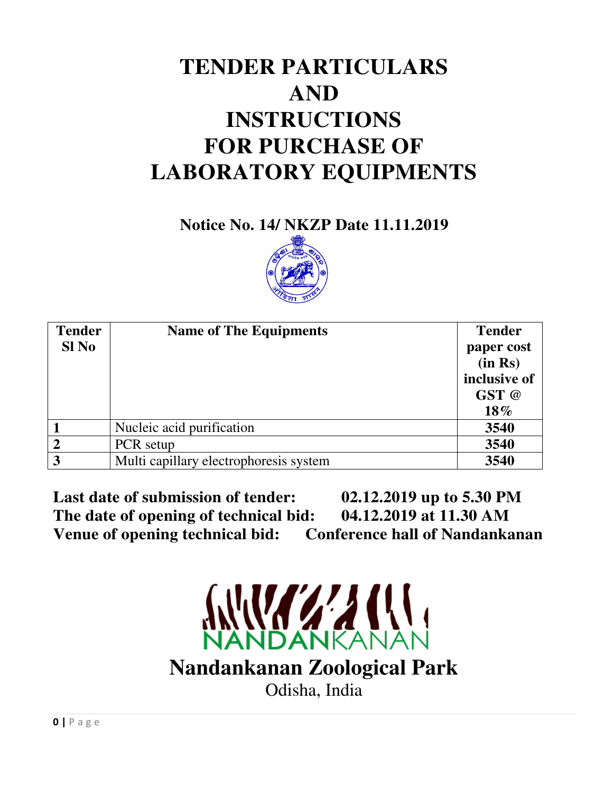# **TENDER PARTICULARS AND INSTRUCTIONS FOR PURCHASE OF LABORATORY EQUIPMENTS**

**Notice No. 14/ NKZP Date 11.11.2019** 



| <b>Tender</b> | <b>Name of The Equipments</b>          | <b>Tender</b> |
|---------------|----------------------------------------|---------------|
| Sl No         |                                        | paper cost    |
|               |                                        | (in Rs)       |
|               |                                        | inclusive of  |
|               |                                        | GST @         |
|               |                                        | 18%           |
|               | Nucleic acid purification              | 3540          |
| ↑             | PCR setup                              | 3540          |
| 3             | Multi capillary electrophoresis system | 3540          |

**Last date of submission of tender: 02.12.2019 up to 5.30 PM The date of opening of technical bid: 04.12.2019 at 11.30 AM Venue of opening technical bid: Conference hall of Nandankanan** 

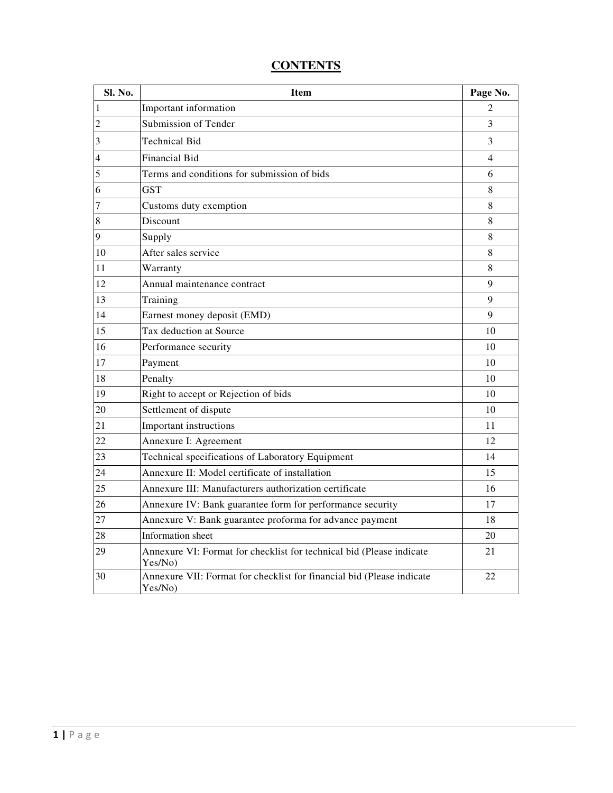| Sl. No.        | <b>Item</b>                                                                      | Page No. |
|----------------|----------------------------------------------------------------------------------|----------|
| $\mathbf{1}$   | Important information                                                            | 2        |
| $\overline{c}$ | Submission of Tender                                                             | 3        |
| 3              | <b>Technical Bid</b>                                                             | 3        |
| $\overline{4}$ | <b>Financial Bid</b>                                                             | 4        |
| 5              | Terms and conditions for submission of bids                                      | 6        |
| 6              | <b>GST</b>                                                                       | 8        |
| $\overline{7}$ | Customs duty exemption                                                           | 8        |
| 8              | Discount                                                                         | 8        |
| 9              | Supply                                                                           | 8        |
| 10             | After sales service                                                              | 8        |
| 11             | Warranty                                                                         | 8        |
| 12             | Annual maintenance contract                                                      | 9        |
| 13             | Training                                                                         | 9        |
| 14             | Earnest money deposit (EMD)                                                      | 9        |
| 15             | Tax deduction at Source                                                          | 10       |
| 16             | Performance security                                                             | 10       |
| 17             | Payment                                                                          | 10       |
| 18             | Penalty                                                                          | 10       |
| 19             | Right to accept or Rejection of bids                                             | 10       |
| 20             | Settlement of dispute                                                            | 10       |
| 21             | Important instructions                                                           | 11       |
| 22             | Annexure I: Agreement                                                            | 12       |
| 23             | Technical specifications of Laboratory Equipment                                 | 14       |
| 24             | Annexure II: Model certificate of installation                                   | 15       |
| 25             | Annexure III: Manufacturers authorization certificate                            | 16       |
| 26             | Annexure IV: Bank guarantee form for performance security                        | 17       |
| 27             | Annexure V: Bank guarantee proforma for advance payment                          | 18       |
| 28             | Information sheet                                                                | 20       |
| 29             | Annexure VI: Format for checklist for technical bid (Please indicate<br>Yes/No)  | 21       |
| 30             | Annexure VII: Format for checklist for financial bid (Please indicate<br>Yes/No) | 22       |

# **CONTENTS**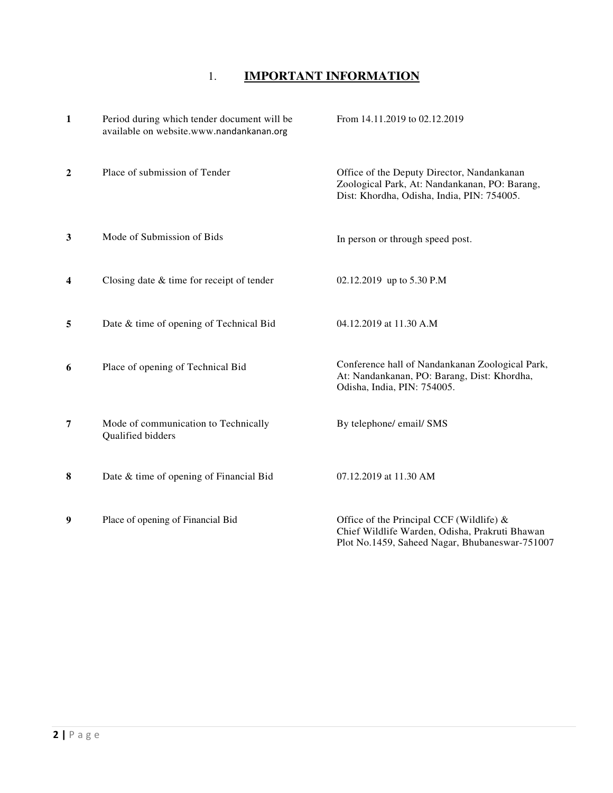# 1. **IMPORTANT INFORMATION**

| $\mathbf{1}$            | Period during which tender document will be<br>available on website.www.nandankanan.org | From 14.11.2019 to 02.12.2019                                                                                                             |
|-------------------------|-----------------------------------------------------------------------------------------|-------------------------------------------------------------------------------------------------------------------------------------------|
| $\overline{2}$          | Place of submission of Tender                                                           | Office of the Deputy Director, Nandankanan<br>Zoological Park, At: Nandankanan, PO: Barang,<br>Dist: Khordha, Odisha, India, PIN: 754005. |
| 3                       | Mode of Submission of Bids                                                              | In person or through speed post.                                                                                                          |
| $\overline{\mathbf{4}}$ | Closing date $&$ time for receipt of tender                                             | 02.12.2019 up to 5.30 P.M                                                                                                                 |
| 5                       | Date & time of opening of Technical Bid                                                 | 04.12.2019 at 11.30 A.M                                                                                                                   |
| 6                       | Place of opening of Technical Bid                                                       | Conference hall of Nandankanan Zoological Park,<br>At: Nandankanan, PO: Barang, Dist: Khordha,<br>Odisha, India, PIN: 754005.             |
| 7                       | Mode of communication to Technically<br>Qualified bidders                               | By telephone/ email/ SMS                                                                                                                  |
| 8                       | Date & time of opening of Financial Bid                                                 | 07.12.2019 at 11.30 AM                                                                                                                    |
| 9                       | Place of opening of Financial Bid                                                       | Office of the Principal CCF (Wildlife) &<br>Chief Wildlife Warden, Odisha, Prakruti Bhawan                                                |

Plot No.1459, Saheed Nagar, Bhubaneswar-751007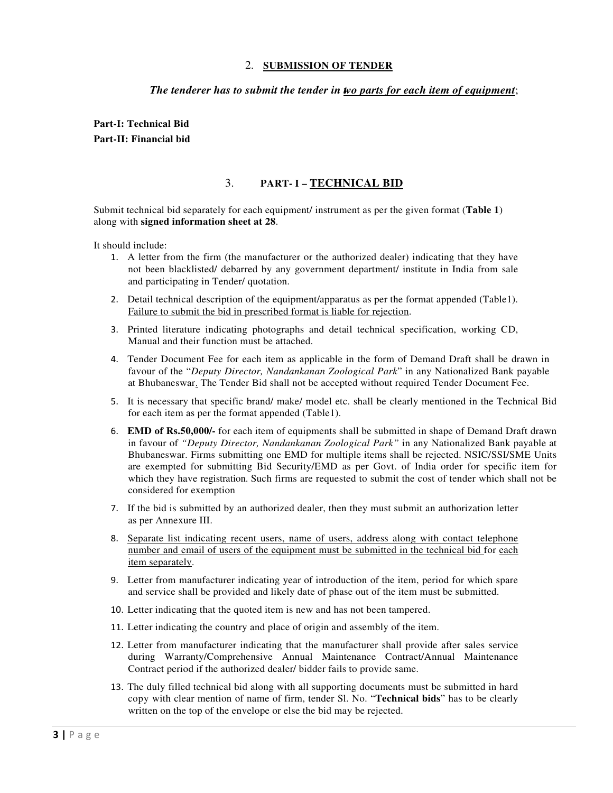#### 2. **SUBMISSION OF TENDER**

#### *The tenderer has to submit the tender in two parts for each item of equipment*;

**Part-I: Technical Bid Part-II: Financial bid** 

#### 3. **PART- I – TECHNICAL BID**

Submit technical bid separately for each equipment/ instrument as per the given format (**Table 1**) along with **signed information sheet at 28**.

It should include:

- 1. A letter from the firm (the manufacturer or the authorized dealer) indicating that they have not been blacklisted/ debarred by any government department/ institute in India from sale and participating in Tender/ quotation.
- 2. Detail technical description of the equipment/apparatus as per the format appended (Table1). Failure to submit the bid in prescribed format is liable for rejection.
- 3. Printed literature indicating photographs and detail technical specification, working CD, Manual and their function must be attached.
- 4. Tender Document Fee for each item as applicable in the form of Demand Draft shall be drawn in favour of the "*Deputy Director, Nandankanan Zoological Park*" in any Nationalized Bank payable at Bhubaneswar. The Tender Bid shall not be accepted without required Tender Document Fee.
- 5. It is necessary that specific brand/ make/ model etc. shall be clearly mentioned in the Technical Bid for each item as per the format appended (Table1).
- 6. **EMD of Rs.50,000/-** for each item of equipments shall be submitted in shape of Demand Draft drawn in favour of *"Deputy Director, Nandankanan Zoological Park"* in any Nationalized Bank payable at Bhubaneswar. Firms submitting one EMD for multiple items shall be rejected. NSIC/SSI/SME Units are exempted for submitting Bid Security/EMD as per Govt. of India order for specific item for which they have registration. Such firms are requested to submit the cost of tender which shall not be considered for exemption
- 7. If the bid is submitted by an authorized dealer, then they must submit an authorization letter as per Annexure III.
- 8. Separate list indicating recent users, name of users, address along with contact telephone number and email of users of the equipment must be submitted in the technical bid for each item separately.
- 9. Letter from manufacturer indicating year of introduction of the item, period for which spare and service shall be provided and likely date of phase out of the item must be submitted.
- 10. Letter indicating that the quoted item is new and has not been tampered.
- 11. Letter indicating the country and place of origin and assembly of the item.
- 12. Letter from manufacturer indicating that the manufacturer shall provide after sales service during Warranty/Comprehensive Annual Maintenance Contract/Annual Maintenance Contract period if the authorized dealer/ bidder fails to provide same.
- 13. The duly filled technical bid along with all supporting documents must be submitted in hard copy with clear mention of name of firm, tender Sl. No. "**Technical bids**" has to be clearly written on the top of the envelope or else the bid may be rejected.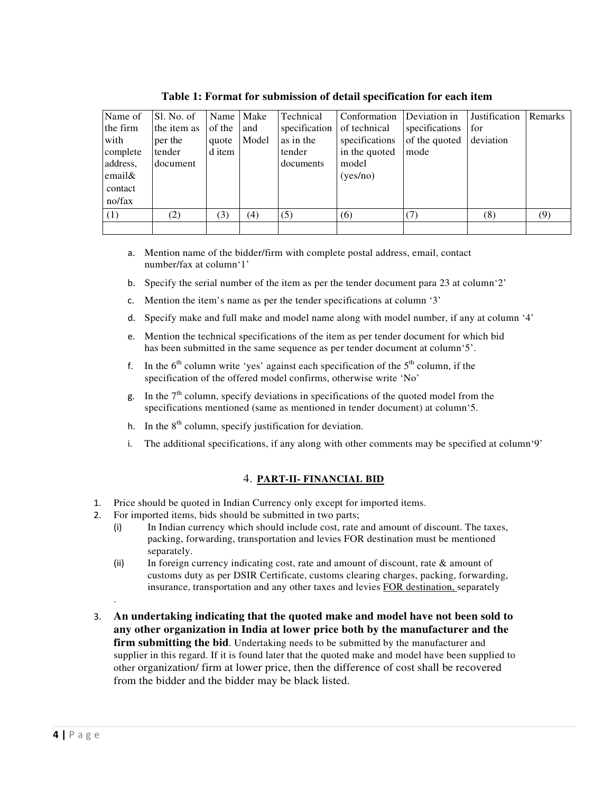| Name of  | Sl. No. of  | Name   Make |       | Technical                  | Conformation   | Deviation in   | Justification | <b>Remarks</b> |
|----------|-------------|-------------|-------|----------------------------|----------------|----------------|---------------|----------------|
| the firm | the item as | of the      | and   | specification of technical |                | specifications | for           |                |
| with     | per the     | quote       | Model | as in the                  | specifications | of the quoted  | deviation     |                |
| complete | tender      | d item      |       | tender                     | in the quoted  | mode           |               |                |
| address, | document    |             |       | documents                  | model          |                |               |                |
| email&   |             |             |       |                            | (yes/no)       |                |               |                |
| contact  |             |             |       |                            |                |                |               |                |
| no/fax   |             |             |       |                            |                |                |               |                |
| (1)      | (2)         | 3)          | (4)   | (5)                        | (6)            | (7)            | (8)           | (9)            |
|          |             |             |       |                            |                |                |               |                |

**Table 1: Format for submission of detail specification for each item**

- a. Mention name of the bidder/firm with complete postal address, email, contact number/fax at column'1'
- b. Specify the serial number of the item as per the tender document para 23 at column'2'
- c. Mention the item's name as per the tender specifications at column '3'
- d. Specify make and full make and model name along with model number, if any at column '4'
- e. Mention the technical specifications of the item as per tender document for which bid has been submitted in the same sequence as per tender document at column'5'.
- f. In the  $6<sup>th</sup>$  column write 'yes' against each specification of the  $5<sup>th</sup>$  column, if the specification of the offered model confirms, otherwise write 'No'
- g. In the  $7<sup>th</sup>$  column, specify deviations in specifications of the quoted model from the specifications mentioned (same as mentioned in tender document) at column'5.
- h. In the  $8<sup>th</sup>$  column, specify justification for deviation.
- i. The additional specifications, if any along with other comments may be specified at column'9'

### 4. **PART-II- FINANCIAL BID**

- 1. Price should be quoted in Indian Currency only except for imported items.
- 2. For imported items, bids should be submitted in two parts;
	- (i) In Indian currency which should include cost, rate and amount of discount. The taxes, packing, forwarding, transportation and levies FOR destination must be mentioned separately.
	- (ii) In foreign currency indicating cost, rate and amount of discount, rate  $\&$  amount of customs duty as per DSIR Certificate, customs clearing charges, packing, forwarding, insurance, transportation and any other taxes and levies FOR destination, separately
- 3. **An undertaking indicating that the quoted make and model have not been sold to any other organization in India at lower price both by the manufacturer and the firm submitting the bid.** Undertaking needs to be submitted by the manufacturer and supplier in this regard. If it is found later that the quoted make and model have been supplied to other organization/ firm at lower price, then the difference of cost shall be recovered from the bidder and the bidder may be black listed.

.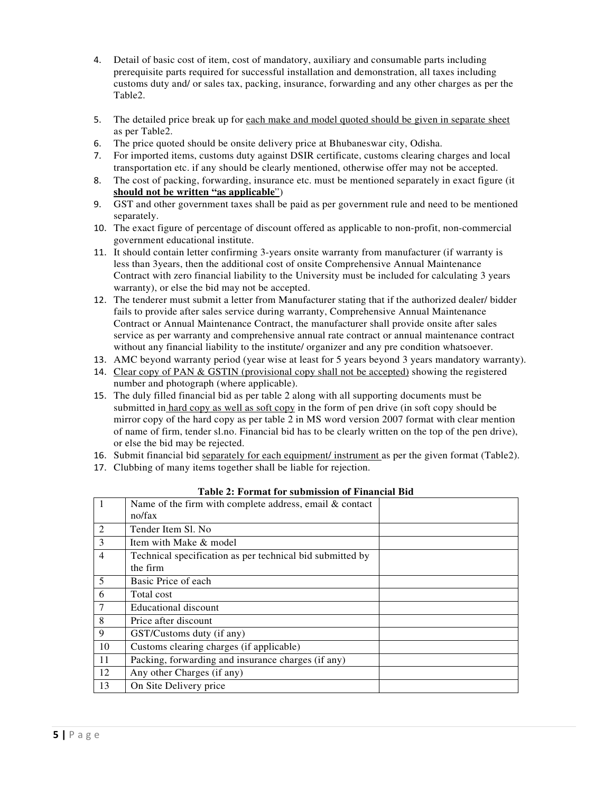- 4. Detail of basic cost of item, cost of mandatory, auxiliary and consumable parts including prerequisite parts required for successful installation and demonstration, all taxes including customs duty and/ or sales tax, packing, insurance, forwarding and any other charges as per the Table2.
- 5. The detailed price break up for each make and model quoted should be given in separate sheet as per Table2.
- 6. The price quoted should be onsite delivery price at Bhubaneswar city, Odisha.
- 7. For imported items, customs duty against DSIR certificate, customs clearing charges and local transportation etc. if any should be clearly mentioned, otherwise offer may not be accepted.
- 8. The cost of packing, forwarding, insurance etc. must be mentioned separately in exact figure (it **should not be written "as applicable**")
- 9. GST and other government taxes shall be paid as per government rule and need to be mentioned separately.
- 10. The exact figure of percentage of discount offered as applicable to non-profit, non-commercial government educational institute.
- 11. It should contain letter confirming 3-years onsite warranty from manufacturer (if warranty is less than 3years, then the additional cost of onsite Comprehensive Annual Maintenance Contract with zero financial liability to the University must be included for calculating 3 years warranty), or else the bid may not be accepted.
- 12. The tenderer must submit a letter from Manufacturer stating that if the authorized dealer/ bidder fails to provide after sales service during warranty, Comprehensive Annual Maintenance Contract or Annual Maintenance Contract, the manufacturer shall provide onsite after sales service as per warranty and comprehensive annual rate contract or annual maintenance contract without any financial liability to the institute/ organizer and any pre condition whatsoever.
- 13. AMC beyond warranty period (year wise at least for 5 years beyond 3 years mandatory warranty).
- 14. Clear copy of PAN & GSTIN (provisional copy shall not be accepted) showing the registered number and photograph (where applicable).
- 15. The duly filled financial bid as per table 2 along with all supporting documents must be submitted in hard copy as well as soft copy in the form of pen drive (in soft copy should be mirror copy of the hard copy as per table 2 in MS word version 2007 format with clear mention of name of firm, tender sl.no. Financial bid has to be clearly written on the top of the pen drive), or else the bid may be rejected.
- 16. Submit financial bid separately for each equipment/ instrument as per the given format (Table2).
- 17. Clubbing of many items together shall be liable for rejection.

| $\mathbf{1}$   | Name of the firm with complete address, email & contact   |  |
|----------------|-----------------------------------------------------------|--|
|                | no/fax                                                    |  |
| 2              | Tender Item Sl. No.                                       |  |
| 3              | Item with Make & model                                    |  |
| 4              | Technical specification as per technical bid submitted by |  |
|                | the firm                                                  |  |
| 5              | Basic Price of each                                       |  |
| 6              | Total cost                                                |  |
| $\overline{7}$ | <b>Educational discount</b>                               |  |
| 8              | Price after discount                                      |  |
| 9              | GST/Customs duty (if any)                                 |  |
| 10             | Customs clearing charges (if applicable)                  |  |
| 11             | Packing, forwarding and insurance charges (if any)        |  |
| 12             | Any other Charges (if any)                                |  |
| 13             | On Site Delivery price                                    |  |

**Table 2: Format for submission of Financial Bid**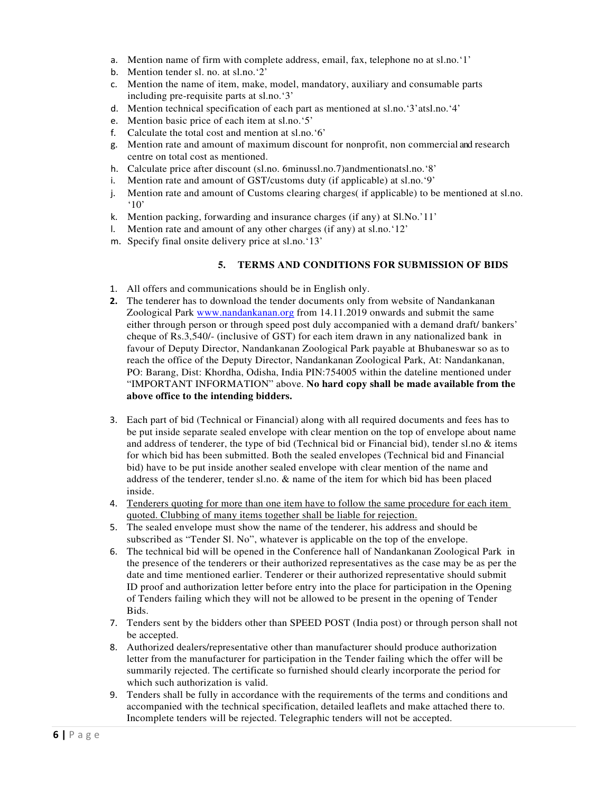- a. Mention name of firm with complete address, email, fax, telephone no at sl.no.'1'
- b. Mention tender sl. no. at sl.no.'2'
- c. Mention the name of item, make, model, mandatory, auxiliary and consumable parts including pre-requisite parts at sl.no.'3'
- d. Mention technical specification of each part as mentioned at sl.no.'3'atsl.no.'4'
- e. Mention basic price of each item at sl.no.'5'
- f. Calculate the total cost and mention at sl.no.'6'
- g. Mention rate and amount of maximum discount for nonprofit, non commercial and research centre on total cost as mentioned.
- h. Calculate price after discount (sl.no. 6minussl.no.7)andmentionatsl.no.'8'
- i. Mention rate and amount of GST/customs duty (if applicable) at sl.no.'9'
- j. Mention rate and amount of Customs clearing charges( if applicable) to be mentioned at sl.no. '10'
- k. Mention packing, forwarding and insurance charges (if any) at Sl.No.'11'
- l. Mention rate and amount of any other charges (if any) at sl.no.'12'
- m. Specify final onsite delivery price at sl.no.'13'

#### **5. TERMS AND CONDITIONS FOR SUBMISSION OF BIDS**

- 1. All offers and communications should be in English only.
- **2.** The tenderer has to download the tender documents only from website of Nandankanan Zoological Park www.nandankanan.org from 14.11.2019 onwards and submit the same either through person or through speed post duly accompanied with a demand draft/ bankers' cheque of Rs.3,540/- (inclusive of GST) for each item drawn in any nationalized bank in favour of Deputy Director, Nandankanan Zoological Park payable at Bhubaneswar so as to reach the office of the Deputy Director, Nandankanan Zoological Park, At: Nandankanan, PO: Barang, Dist: Khordha, Odisha, India PIN:754005 within the dateline mentioned under "IMPORTANT INFORMATION" above. **No hard copy shall be made available from the above office to the intending bidders.**
- 3. Each part of bid (Technical or Financial) along with all required documents and fees has to be put inside separate sealed envelope with clear mention on the top of envelope about name and address of tenderer, the type of bid (Technical bid or Financial bid), tender sl.no  $\&$  items for which bid has been submitted. Both the sealed envelopes (Technical bid and Financial bid) have to be put inside another sealed envelope with clear mention of the name and address of the tenderer, tender sl.no. & name of the item for which bid has been placed inside.
- 4. Tenderers quoting for more than one item have to follow the same procedure for each item quoted. Clubbing of many items together shall be liable for rejection.
- 5. The sealed envelope must show the name of the tenderer, his address and should be subscribed as "Tender Sl. No", whatever is applicable on the top of the envelope.
- 6. The technical bid will be opened in the Conference hall of Nandankanan Zoological Park in the presence of the tenderers or their authorized representatives as the case may be as per the date and time mentioned earlier. Tenderer or their authorized representative should submit ID proof and authorization letter before entry into the place for participation in the Opening of Tenders failing which they will not be allowed to be present in the opening of Tender Bids.
- 7. Tenders sent by the bidders other than SPEED POST (India post) or through person shall not be accepted.
- 8. Authorized dealers/representative other than manufacturer should produce authorization letter from the manufacturer for participation in the Tender failing which the offer will be summarily rejected. The certificate so furnished should clearly incorporate the period for which such authorization is valid.
- 9. Tenders shall be fully in accordance with the requirements of the terms and conditions and accompanied with the technical specification, detailed leaflets and make attached there to. Incomplete tenders will be rejected. Telegraphic tenders will not be accepted.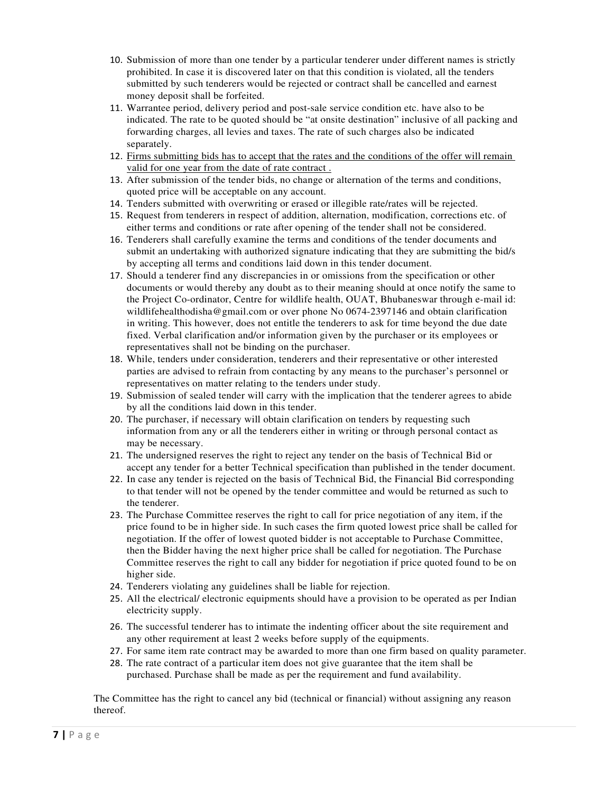- 10. Submission of more than one tender by a particular tenderer under different names is strictly prohibited. In case it is discovered later on that this condition is violated, all the tenders submitted by such tenderers would be rejected or contract shall be cancelled and earnest money deposit shall be forfeited.
- 11. Warrantee period, delivery period and post-sale service condition etc. have also to be indicated. The rate to be quoted should be "at onsite destination" inclusive of all packing and forwarding charges, all levies and taxes. The rate of such charges also be indicated separately.
- 12. Firms submitting bids has to accept that the rates and the conditions of the offer will remain valid for one year from the date of rate contract .
- 13. After submission of the tender bids, no change or alternation of the terms and conditions, quoted price will be acceptable on any account.
- 14. Tenders submitted with overwriting or erased or illegible rate/rates will be rejected.
- 15. Request from tenderers in respect of addition, alternation, modification, corrections etc. of either terms and conditions or rate after opening of the tender shall not be considered.
- 16. Tenderers shall carefully examine the terms and conditions of the tender documents and submit an undertaking with authorized signature indicating that they are submitting the bid/s by accepting all terms and conditions laid down in this tender document.
- 17. Should a tenderer find any discrepancies in or omissions from the specification or other documents or would thereby any doubt as to their meaning should at once notify the same to the Project Co-ordinator, Centre for wildlife health, OUAT, Bhubaneswar through e-mail id: wildlifehealthodisha@gmail.com or over phone No 0674-2397146 and obtain clarification in writing. This however, does not entitle the tenderers to ask for time beyond the due date fixed. Verbal clarification and/or information given by the purchaser or its employees or representatives shall not be binding on the purchaser.
- 18. While, tenders under consideration, tenderers and their representative or other interested parties are advised to refrain from contacting by any means to the purchaser's personnel or representatives on matter relating to the tenders under study.
- 19. Submission of sealed tender will carry with the implication that the tenderer agrees to abide by all the conditions laid down in this tender.
- 20. The purchaser, if necessary will obtain clarification on tenders by requesting such information from any or all the tenderers either in writing or through personal contact as may be necessary.
- 21. The undersigned reserves the right to reject any tender on the basis of Technical Bid or accept any tender for a better Technical specification than published in the tender document.
- 22. In case any tender is rejected on the basis of Technical Bid, the Financial Bid corresponding to that tender will not be opened by the tender committee and would be returned as such to the tenderer.
- 23. The Purchase Committee reserves the right to call for price negotiation of any item, if the price found to be in higher side. In such cases the firm quoted lowest price shall be called for negotiation. If the offer of lowest quoted bidder is not acceptable to Purchase Committee, then the Bidder having the next higher price shall be called for negotiation. The Purchase Committee reserves the right to call any bidder for negotiation if price quoted found to be on higher side.
- 24. Tenderers violating any guidelines shall be liable for rejection.
- 25. All the electrical/ electronic equipments should have a provision to be operated as per Indian electricity supply.
- 26. The successful tenderer has to intimate the indenting officer about the site requirement and any other requirement at least 2 weeks before supply of the equipments.
- 27. For same item rate contract may be awarded to more than one firm based on quality parameter.
- 28. The rate contract of a particular item does not give guarantee that the item shall be purchased. Purchase shall be made as per the requirement and fund availability.

The Committee has the right to cancel any bid (technical or financial) without assigning any reason thereof.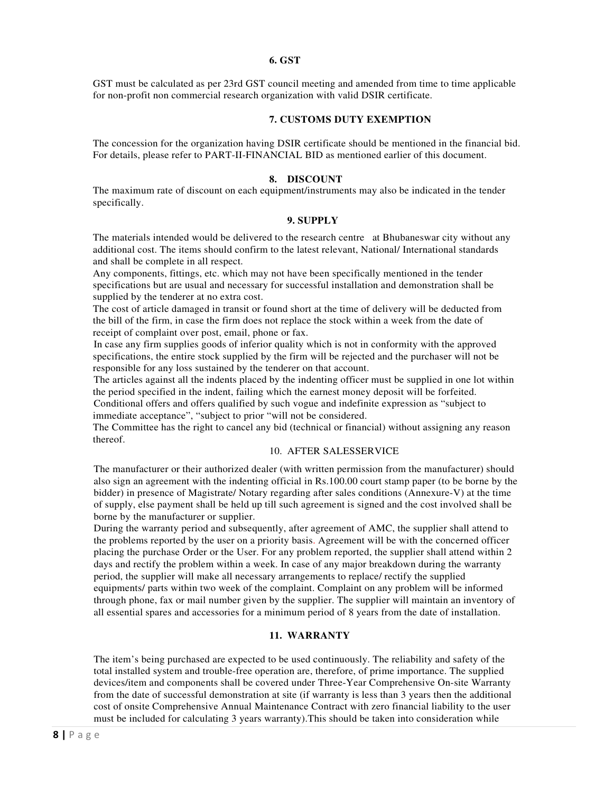#### **6. GST**

GST must be calculated as per 23rd GST council meeting and amended from time to time applicable for non-profit non commercial research organization with valid DSIR certificate.

#### **7. CUSTOMS DUTY EXEMPTION**

The concession for the organization having DSIR certificate should be mentioned in the financial bid. For details, please refer to PART-II-FINANCIAL BID as mentioned earlier of this document.

#### **8. DISCOUNT**

The maximum rate of discount on each equipment/instruments may also be indicated in the tender specifically.

#### **9. SUPPLY**

The materials intended would be delivered to the research centre at Bhubaneswar city without any additional cost. The items should confirm to the latest relevant, National/ International standards and shall be complete in all respect.

Any components, fittings, etc. which may not have been specifically mentioned in the tender specifications but are usual and necessary for successful installation and demonstration shall be supplied by the tenderer at no extra cost.

The cost of article damaged in transit or found short at the time of delivery will be deducted from the bill of the firm, in case the firm does not replace the stock within a week from the date of receipt of complaint over post, email, phone or fax.

In case any firm supplies goods of inferior quality which is not in conformity with the approved specifications, the entire stock supplied by the firm will be rejected and the purchaser will not be responsible for any loss sustained by the tenderer on that account.

The articles against all the indents placed by the indenting officer must be supplied in one lot within the period specified in the indent, failing which the earnest money deposit will be forfeited.

Conditional offers and offers qualified by such vogue and indefinite expression as "subject to immediate acceptance", "subject to prior "will not be considered.

The Committee has the right to cancel any bid (technical or financial) without assigning any reason thereof.

#### 10. AFTER SALESSERVICE

The manufacturer or their authorized dealer (with written permission from the manufacturer) should also sign an agreement with the indenting official in Rs.100.00 court stamp paper (to be borne by the bidder) in presence of Magistrate/ Notary regarding after sales conditions (Annexure-V) at the time of supply, else payment shall be held up till such agreement is signed and the cost involved shall be borne by the manufacturer or supplier.

During the warranty period and subsequently, after agreement of AMC, the supplier shall attend to the problems reported by the user on a priority basis. Agreement will be with the concerned officer placing the purchase Order or the User. For any problem reported, the supplier shall attend within 2 days and rectify the problem within a week. In case of any major breakdown during the warranty period, the supplier will make all necessary arrangements to replace/ rectify the supplied equipments/ parts within two week of the complaint. Complaint on any problem will be informed through phone, fax or mail number given by the supplier. The supplier will maintain an inventory of all essential spares and accessories for a minimum period of 8 years from the date of installation.

#### **11. WARRANTY**

The item's being purchased are expected to be used continuously. The reliability and safety of the total installed system and trouble-free operation are, therefore, of prime importance. The supplied devices/item and components shall be covered under Three-Year Comprehensive On-site Warranty from the date of successful demonstration at site (if warranty is less than 3 years then the additional cost of onsite Comprehensive Annual Maintenance Contract with zero financial liability to the user must be included for calculating 3 years warranty).This should be taken into consideration while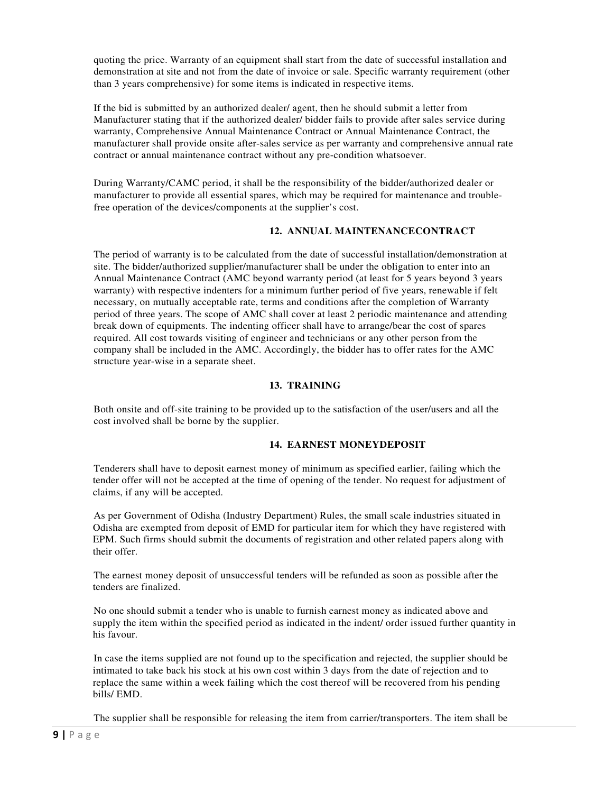quoting the price. Warranty of an equipment shall start from the date of successful installation and demonstration at site and not from the date of invoice or sale. Specific warranty requirement (other than 3 years comprehensive) for some items is indicated in respective items.

If the bid is submitted by an authorized dealer/ agent, then he should submit a letter from Manufacturer stating that if the authorized dealer/ bidder fails to provide after sales service during warranty, Comprehensive Annual Maintenance Contract or Annual Maintenance Contract, the manufacturer shall provide onsite after-sales service as per warranty and comprehensive annual rate contract or annual maintenance contract without any pre-condition whatsoever.

During Warranty/CAMC period, it shall be the responsibility of the bidder/authorized dealer or manufacturer to provide all essential spares, which may be required for maintenance and troublefree operation of the devices/components at the supplier's cost.

#### **12. ANNUAL MAINTENANCECONTRACT**

The period of warranty is to be calculated from the date of successful installation/demonstration at site. The bidder/authorized supplier/manufacturer shall be under the obligation to enter into an Annual Maintenance Contract (AMC beyond warranty period (at least for 5 years beyond 3 years warranty) with respective indenters for a minimum further period of five years, renewable if felt necessary, on mutually acceptable rate, terms and conditions after the completion of Warranty period of three years. The scope of AMC shall cover at least 2 periodic maintenance and attending break down of equipments. The indenting officer shall have to arrange/bear the cost of spares required. All cost towards visiting of engineer and technicians or any other person from the company shall be included in the AMC. Accordingly, the bidder has to offer rates for the AMC structure year-wise in a separate sheet.

#### **13. TRAINING**

Both onsite and off-site training to be provided up to the satisfaction of the user/users and all the cost involved shall be borne by the supplier.

#### **14. EARNEST MONEYDEPOSIT**

Tenderers shall have to deposit earnest money of minimum as specified earlier, failing which the tender offer will not be accepted at the time of opening of the tender. No request for adjustment of claims, if any will be accepted.

As per Government of Odisha (Industry Department) Rules, the small scale industries situated in Odisha are exempted from deposit of EMD for particular item for which they have registered with EPM. Such firms should submit the documents of registration and other related papers along with their offer.

The earnest money deposit of unsuccessful tenders will be refunded as soon as possible after the tenders are finalized.

No one should submit a tender who is unable to furnish earnest money as indicated above and supply the item within the specified period as indicated in the indent/ order issued further quantity in his favour.

In case the items supplied are not found up to the specification and rejected, the supplier should be intimated to take back his stock at his own cost within 3 days from the date of rejection and to replace the same within a week failing which the cost thereof will be recovered from his pending bills/ EMD.

The supplier shall be responsible for releasing the item from carrier/transporters. The item shall be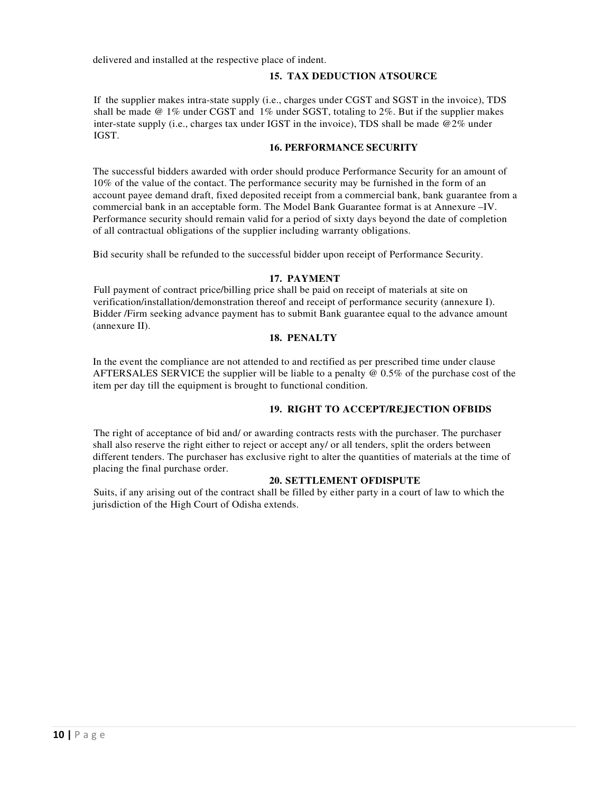delivered and installed at the respective place of indent.

#### **15. TAX DEDUCTION ATSOURCE**

If the supplier makes intra-state supply (i.e., charges under CGST and SGST in the invoice), TDS shall be made  $@ 1\%$  under CGST and  $1\%$  under SGST, totaling to 2%. But if the supplier makes inter-state supply (i.e., charges tax under IGST in the invoice), TDS shall be made @2% under IGST.

#### **16. PERFORMANCE SECURITY**

The successful bidders awarded with order should produce Performance Security for an amount of 10% of the value of the contact. The performance security may be furnished in the form of an account payee demand draft, fixed deposited receipt from a commercial bank, bank guarantee from a commercial bank in an acceptable form. The Model Bank Guarantee format is at Annexure –IV. Performance security should remain valid for a period of sixty days beyond the date of completion of all contractual obligations of the supplier including warranty obligations.

Bid security shall be refunded to the successful bidder upon receipt of Performance Security.

#### **17. PAYMENT**

Full payment of contract price/billing price shall be paid on receipt of materials at site on verification/installation/demonstration thereof and receipt of performance security (annexure I). Bidder /Firm seeking advance payment has to submit Bank guarantee equal to the advance amount (annexure II).

#### **18. PENALTY**

In the event the compliance are not attended to and rectified as per prescribed time under clause AFTERSALES SERVICE the supplier will be liable to a penalty @ 0.5% of the purchase cost of the item per day till the equipment is brought to functional condition.

#### **19. RIGHT TO ACCEPT/REJECTION OFBIDS**

The right of acceptance of bid and/ or awarding contracts rests with the purchaser. The purchaser shall also reserve the right either to reject or accept any/ or all tenders, split the orders between different tenders. The purchaser has exclusive right to alter the quantities of materials at the time of placing the final purchase order.

#### **20. SETTLEMENT OFDISPUTE**

Suits, if any arising out of the contract shall be filled by either party in a court of law to which the jurisdiction of the High Court of Odisha extends.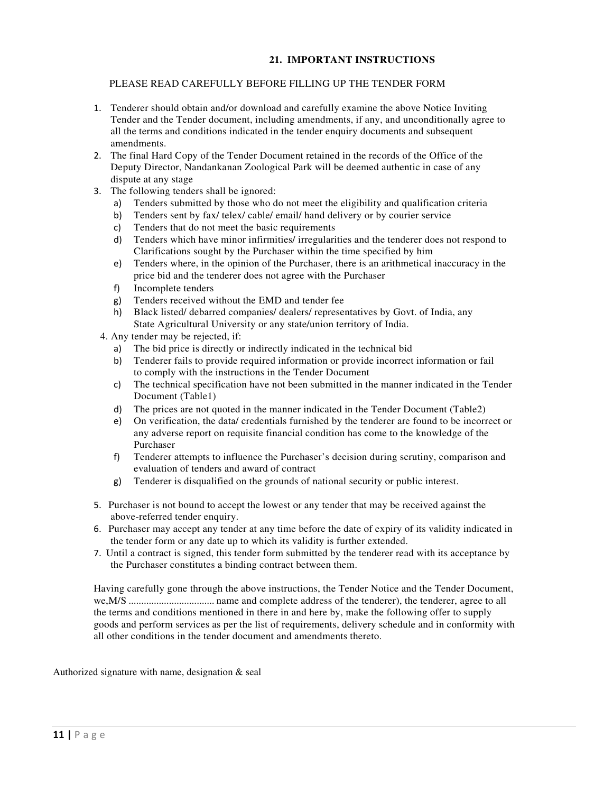#### **21. IMPORTANT INSTRUCTIONS**

#### PLEASE READ CAREFULLY BEFORE FILLING UP THE TENDER FORM

- 1. Tenderer should obtain and/or download and carefully examine the above Notice Inviting Tender and the Tender document, including amendments, if any, and unconditionally agree to all the terms and conditions indicated in the tender enquiry documents and subsequent amendments.
- 2. The final Hard Copy of the Tender Document retained in the records of the Office of the Deputy Director, Nandankanan Zoological Park will be deemed authentic in case of any dispute at any stage
- 3. The following tenders shall be ignored:
	- a) Tenders submitted by those who do not meet the eligibility and qualification criteria
	- b) Tenders sent by fax/ telex/ cable/ email/ hand delivery or by courier service
	- c) Tenders that do not meet the basic requirements
	- d) Tenders which have minor infirmities/ irregularities and the tenderer does not respond to Clarifications sought by the Purchaser within the time specified by him
	- e) Tenders where, in the opinion of the Purchaser, there is an arithmetical inaccuracy in the price bid and the tenderer does not agree with the Purchaser
	- f) Incomplete tenders
	- g) Tenders received without the EMD and tender fee
	- h) Black listed/ debarred companies/ dealers/ representatives by Govt. of India, any State Agricultural University or any state/union territory of India.
	- 4. Any tender may be rejected, if:
		- a) The bid price is directly or indirectly indicated in the technical bid
		- b) Tenderer fails to provide required information or provide incorrect information or fail to comply with the instructions in the Tender Document
		- c) The technical specification have not been submitted in the manner indicated in the Tender Document (Table1)
		- d) The prices are not quoted in the manner indicated in the Tender Document (Table2)
		- e) On verification, the data/ credentials furnished by the tenderer are found to be incorrect or any adverse report on requisite financial condition has come to the knowledge of the Purchaser
		- f) Tenderer attempts to influence the Purchaser's decision during scrutiny, comparison and evaluation of tenders and award of contract
		- g) Tenderer is disqualified on the grounds of national security or public interest.
- 5. Purchaser is not bound to accept the lowest or any tender that may be received against the above-referred tender enquiry.
- 6. Purchaser may accept any tender at any time before the date of expiry of its validity indicated in the tender form or any date up to which its validity is further extended.
- 7. Until a contract is signed, this tender form submitted by the tenderer read with its acceptance by the Purchaser constitutes a binding contract between them.

Having carefully gone through the above instructions, the Tender Notice and the Tender Document, we,M/S .................................. name and complete address of the tenderer), the tenderer, agree to all the terms and conditions mentioned in there in and here by, make the following offer to supply goods and perform services as per the list of requirements, delivery schedule and in conformity with all other conditions in the tender document and amendments thereto.

Authorized signature with name, designation & seal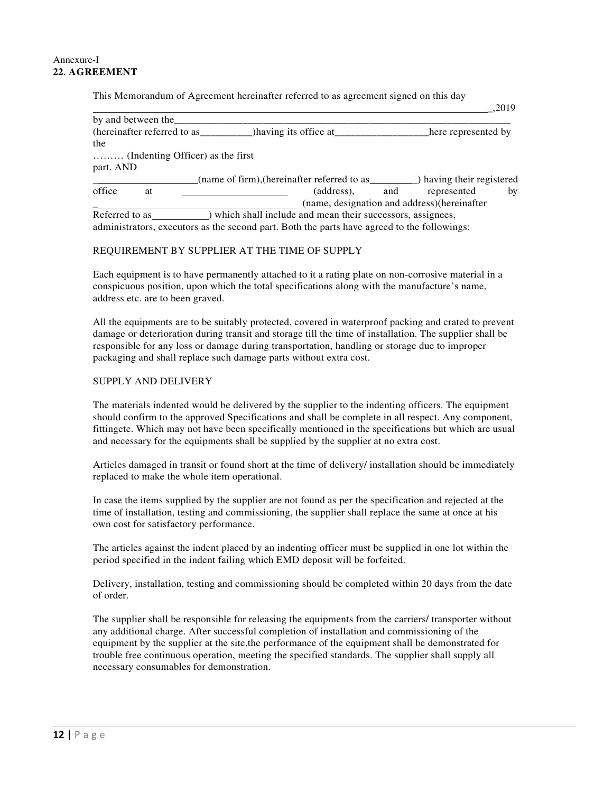#### Annexure-I **22**. **AGREEMENT**

This Memorandum of Agreement hereinafter referred to as agreement signed on this day

|                                  |                                                           | .ZUTY                   |
|----------------------------------|-----------------------------------------------------------|-------------------------|
| by and between the               |                                                           |                         |
| (hereinafter referred to as____  | ) having its office at                                    | here represented by     |
| the                              |                                                           |                         |
| (Indenting Officer) as the first |                                                           |                         |
| part. AND                        |                                                           |                         |
|                                  | (name of firm), (hereinafter referred to as               | having their registered |
| office<br>at                     | (address),<br>and                                         | by<br>represented       |
|                                  | (name, designation and address) (hereinafter              |                         |
| Referred to as                   | which shall include and mean their successors, assignees, |                         |

\_,2019

administrators, executors as the second part. Both the parts have agreed to the followings:

#### REQUIREMENT BY SUPPLIER AT THE TIME OF SUPPLY

Each equipment is to have permanently attached to it a rating plate on non-corrosive material in a conspicuous position, upon which the total specifications along with the manufacture's name, address etc. are to been graved.

All the equipments are to be suitably protected, covered in waterproof packing and crated to prevent damage or deterioration during transit and storage till the time of installation. The supplier shall be responsible for any loss or damage during transportation, handling or storage due to improper packaging and shall replace such damage parts without extra cost.

#### SUPPLY AND DELIVERY

The materials indented would be delivered by the supplier to the indenting officers. The equipment should confirm to the approved Specifications and shall be complete in all respect. Any component, fittingetc. Which may not have been specifically mentioned in the specifications but which are usual and necessary for the equipments shall be supplied by the supplier at no extra cost.

Articles damaged in transit or found short at the time of delivery/ installation should be immediately replaced to make the whole item operational.

In case the items supplied by the supplier are not found as per the specification and rejected at the time of installation, testing and commissioning, the supplier shall replace the same at once at his own cost for satisfactory performance.

The articles against the indent placed by an indenting officer must be supplied in one lot within the period specified in the indent failing which EMD deposit will be forfeited.

Delivery, installation, testing and commissioning should be completed within 20 days from the date of order.

The supplier shall be responsible for releasing the equipments from the carriers/ transporter without any additional charge. After successful completion of installation and commissioning of the equipment by the supplier at the site,the performance of the equipment shall be demonstrated for trouble free continuous operation, meeting the specified standards. The supplier shall supply all necessary consumables for demonstration.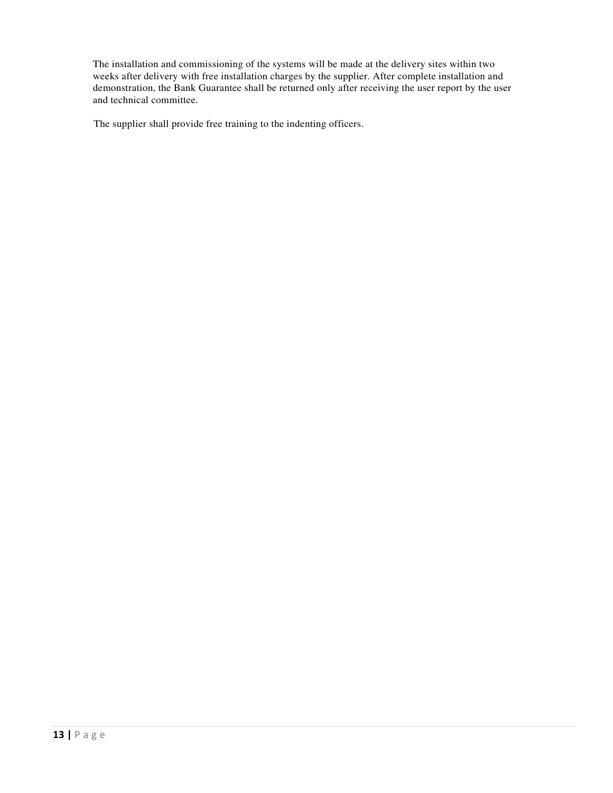The installation and commissioning of the systems will be made at the delivery sites within two weeks after delivery with free installation charges by the supplier. After complete installation and demonstration, the Bank Guarantee shall be returned only after receiving the user report by the user and technical committee.

The supplier shall provide free training to the indenting officers.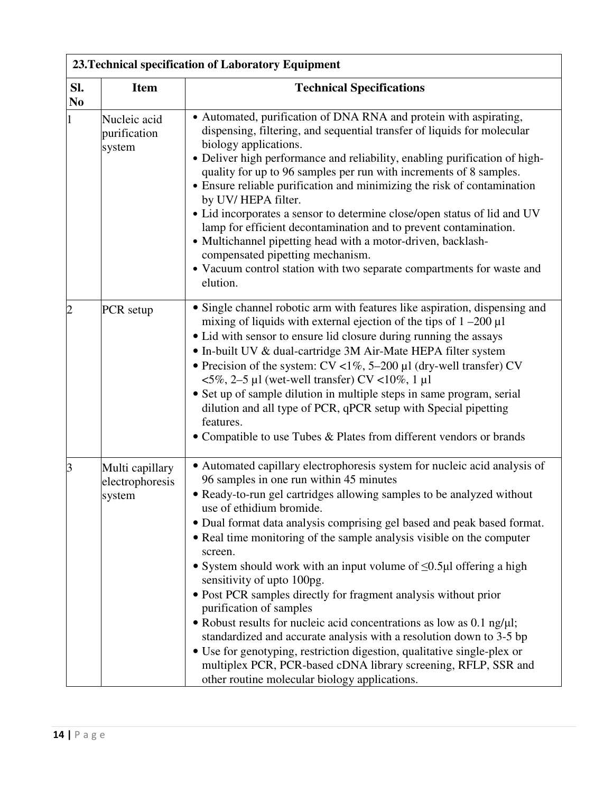|                       | 23. Technical specification of Laboratory Equipment |                                                                                                                                                                                                                                                                                                                                                                                                                                                                                                                                                                                                                                                                                                                                                                                                                                                                                                                                                          |  |  |  |  |
|-----------------------|-----------------------------------------------------|----------------------------------------------------------------------------------------------------------------------------------------------------------------------------------------------------------------------------------------------------------------------------------------------------------------------------------------------------------------------------------------------------------------------------------------------------------------------------------------------------------------------------------------------------------------------------------------------------------------------------------------------------------------------------------------------------------------------------------------------------------------------------------------------------------------------------------------------------------------------------------------------------------------------------------------------------------|--|--|--|--|
| Sl.<br>N <sub>0</sub> | <b>Item</b>                                         | <b>Technical Specifications</b>                                                                                                                                                                                                                                                                                                                                                                                                                                                                                                                                                                                                                                                                                                                                                                                                                                                                                                                          |  |  |  |  |
| $\mathbf{1}$          | Nucleic acid<br>purification<br>system              | • Automated, purification of DNA RNA and protein with aspirating,<br>dispensing, filtering, and sequential transfer of liquids for molecular<br>biology applications.<br>• Deliver high performance and reliability, enabling purification of high-<br>quality for up to 96 samples per run with increments of 8 samples.<br>• Ensure reliable purification and minimizing the risk of contamination<br>by UV/HEPA filter.<br>• Lid incorporates a sensor to determine close/open status of lid and UV<br>lamp for efficient decontamination and to prevent contamination.<br>• Multichannel pipetting head with a motor-driven, backlash-<br>compensated pipetting mechanism.<br>• Vacuum control station with two separate compartments for waste and<br>elution.                                                                                                                                                                                      |  |  |  |  |
| $\overline{2}$        | PCR setup                                           | • Single channel robotic arm with features like aspiration, dispensing and<br>mixing of liquids with external ejection of the tips of $1 - 200 \mu l$<br>• Lid with sensor to ensure lid closure during running the assays<br>• In-built UV & dual-cartridge 3M Air-Mate HEPA filter system<br>• Precision of the system: $CV < 1\%$ , 5–200 µl (dry-well transfer) CV<br>$\langle 5\%, 2-5 \text{ }\mu \text{]}$ (wet-well transfer) CV <10%, 1 $\mu \text{]}$<br>• Set up of sample dilution in multiple steps in same program, serial<br>dilution and all type of PCR, qPCR setup with Special pipetting<br>features.<br>• Compatible to use Tubes & Plates from different vendors or brands                                                                                                                                                                                                                                                          |  |  |  |  |
| 3                     | Multi capillary<br>electrophoresis<br>system        | • Automated capillary electrophoresis system for nucleic acid analysis of<br>96 samples in one run within 45 minutes<br>• Ready-to-run gel cartridges allowing samples to be analyzed without<br>use of ethidium bromide.<br>• Dual format data analysis comprising gel based and peak based format.<br>• Real time monitoring of the sample analysis visible on the computer<br>screen.<br>• System should work with an input volume of $\leq 0.5\mu$ offering a high<br>sensitivity of upto 100pg.<br>• Post PCR samples directly for fragment analysis without prior<br>purification of samples<br>• Robust results for nucleic acid concentrations as low as $0.1$ ng/ $\mu$ l;<br>standardized and accurate analysis with a resolution down to 3-5 bp<br>• Use for genotyping, restriction digestion, qualitative single-plex or<br>multiplex PCR, PCR-based cDNA library screening, RFLP, SSR and<br>other routine molecular biology applications. |  |  |  |  |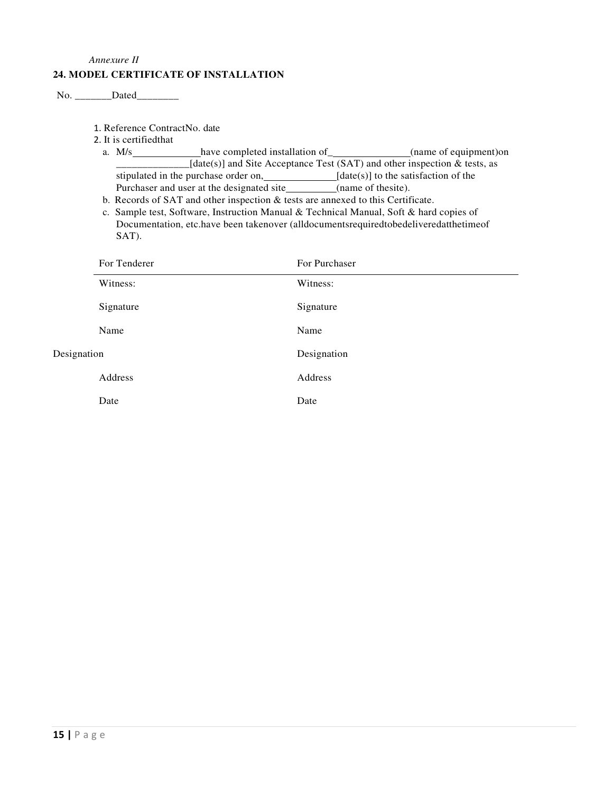#### *Annexure II*

#### **24. MODEL CERTIFICATE OF INSTALLATION**

```
No. _________ Dated__________
```
1. Reference ContractNo. date

- 2. It is certifiedthat
	- a. M/s have completed installation of (name of equipment) have completed installation of  $\sim$  $\text{[date(s)]}$  and Site Acceptance Test (SAT) and other inspection & tests, as stipulated in the purchase order on,  $\qquad \qquad$  [date(s)] to the satisfaction of the Purchaser and user at the designated site\_\_\_\_\_\_\_\_\_(name of thesite).
	- b. Records of SAT and other inspection & tests are annexed to this Certificate.
	- c. Sample test, Software, Instruction Manual & Technical Manual, Soft & hard copies of Documentation, etc.have been takenover (alldocumentsrequiredtobedeliveredatthetimeof SAT).

|             | For Tenderer | For Purchaser |
|-------------|--------------|---------------|
|             | Witness:     | Witness:      |
|             | Signature    | Signature     |
|             | Name         | Name          |
| Designation |              | Designation   |
|             | Address      | Address       |
|             | Date         | Date          |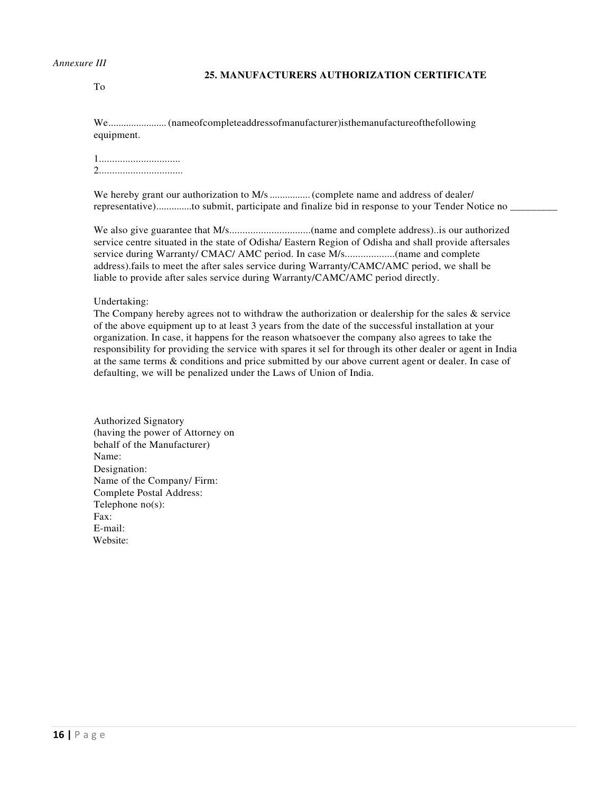#### *Annexure III*

#### **25. MANUFACTURERS AUTHORIZATION CERTIFICATE**

To

We ....................... (nameofcompleteaddressofmanufacturer)isthemanufactureofthefollowing equipment.

1............................... 2................................

We hereby grant our authorization to M/s ................ (complete name and address of dealer/ representative).............to submit, participate and finalize bid in response to your Tender Notice no

We also give guarantee that M/s...............................(name and complete address)..is our authorized service centre situated in the state of Odisha/ Eastern Region of Odisha and shall provide aftersales service during Warranty/ CMAC/ AMC period. In case M/s...................(name and complete address).fails to meet the after sales service during Warranty/CAMC/AMC period, we shall be liable to provide after sales service during Warranty/CAMC/AMC period directly.

Undertaking:

The Company hereby agrees not to withdraw the authorization or dealership for the sales  $\&$  service of the above equipment up to at least 3 years from the date of the successful installation at your organization. In case, it happens for the reason whatsoever the company also agrees to take the responsibility for providing the service with spares it sel for through its other dealer or agent in India at the same terms & conditions and price submitted by our above current agent or dealer. In case of defaulting, we will be penalized under the Laws of Union of India.

Authorized Signatory (having the power of Attorney on behalf of the Manufacturer) Name: Designation: Name of the Company/ Firm: Complete Postal Address: Telephone no(s):  $Fax$ E-mail: Website: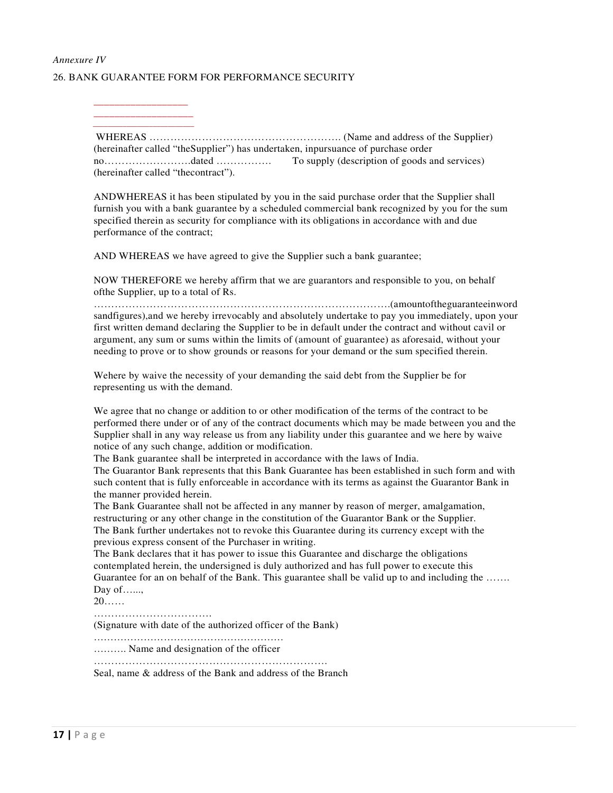## *Annexure IV*  26. BANK GUARANTEE FORM FOR PERFORMANCE SECURITY

\_\_\_\_\_\_\_\_\_\_\_\_\_\_\_\_\_\_ \_\_\_\_\_\_\_\_\_\_\_\_\_\_\_\_\_\_\_

 $\frac{1}{2}$  ,  $\frac{1}{2}$  ,  $\frac{1}{2}$  ,  $\frac{1}{2}$  ,  $\frac{1}{2}$  ,  $\frac{1}{2}$  ,  $\frac{1}{2}$  ,  $\frac{1}{2}$  ,  $\frac{1}{2}$  ,  $\frac{1}{2}$  ,  $\frac{1}{2}$  ,  $\frac{1}{2}$  ,  $\frac{1}{2}$  ,  $\frac{1}{2}$  ,  $\frac{1}{2}$  ,  $\frac{1}{2}$  ,  $\frac{1}{2}$  ,  $\frac{1}{2}$  ,  $\frac{1$ 

WHEREAS ………………………………………………. (Name and address of the Supplier) (hereinafter called "theSupplier") has undertaken, inpursuance of purchase order no…………………….dated ……………. To supply (description of goods and services) (hereinafter called "thecontract").

ANDWHEREAS it has been stipulated by you in the said purchase order that the Supplier shall furnish you with a bank guarantee by a scheduled commercial bank recognized by you for the sum specified therein as security for compliance with its obligations in accordance with and due performance of the contract;

AND WHEREAS we have agreed to give the Supplier such a bank guarantee;

NOW THEREFORE we hereby affirm that we are guarantors and responsible to you, on behalf ofthe Supplier, up to a total of Rs.

………………………………………………………………………….(amountoftheguaranteeinword sandfigures),and we hereby irrevocably and absolutely undertake to pay you immediately, upon your first written demand declaring the Supplier to be in default under the contract and without cavil or argument, any sum or sums within the limits of (amount of guarantee) as aforesaid, without your needing to prove or to show grounds or reasons for your demand or the sum specified therein.

Wehere by waive the necessity of your demanding the said debt from the Supplier be for representing us with the demand.

We agree that no change or addition to or other modification of the terms of the contract to be performed there under or of any of the contract documents which may be made between you and the Supplier shall in any way release us from any liability under this guarantee and we here by waive notice of any such change, addition or modification.

The Bank guarantee shall be interpreted in accordance with the laws of India.

The Guarantor Bank represents that this Bank Guarantee has been established in such form and with such content that is fully enforceable in accordance with its terms as against the Guarantor Bank in the manner provided herein.

The Bank Guarantee shall not be affected in any manner by reason of merger, amalgamation, restructuring or any other change in the constitution of the Guarantor Bank or the Supplier. The Bank further undertakes not to revoke this Guarantee during its currency except with the previous express consent of the Purchaser in writing.

The Bank declares that it has power to issue this Guarantee and discharge the obligations contemplated herein, the undersigned is duly authorized and has full power to execute this Guarantee for an on behalf of the Bank. This guarantee shall be valid up to and including the ……. Day of.......

20……

…………………………………

(Signature with date of the authorized officer of the Bank)

………………………………………………… ………. Name and designation of the officer

………………………………………………………….

Seal, name & address of the Bank and address of the Branch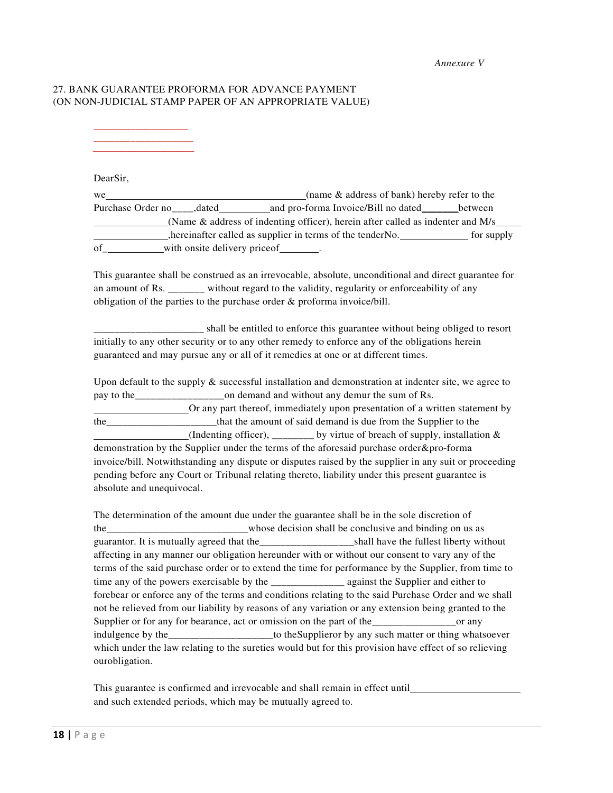*Annexure V* 

#### 27. BANK GUARANTEE PROFORMA FOR ADVANCE PAYMENT (ON NON-JUDICIAL STAMP PAPER OF AN APPROPRIATE VALUE)

\_\_\_\_\_\_\_\_\_\_\_\_\_\_\_\_\_\_ \_\_\_\_\_\_\_\_\_\_\_\_\_\_\_\_\_\_\_

 $\frac{1}{2}$  ,  $\frac{1}{2}$  ,  $\frac{1}{2}$  ,  $\frac{1}{2}$  ,  $\frac{1}{2}$  ,  $\frac{1}{2}$  ,  $\frac{1}{2}$  ,  $\frac{1}{2}$  ,  $\frac{1}{2}$  ,  $\frac{1}{2}$  ,  $\frac{1}{2}$  ,  $\frac{1}{2}$  ,  $\frac{1}{2}$  ,  $\frac{1}{2}$  ,  $\frac{1}{2}$  ,  $\frac{1}{2}$  ,  $\frac{1}{2}$  ,  $\frac{1}{2}$  ,  $\frac{1$ 

DearSir,

we <u>examed a new setting of the setting of the setting of the setting of bank</u>) hereby refer to the Purchase Order no dated and pro-forma Invoice/Bill no dated between (Name & address of indenting officer), herein after called as indenter and M/s hereinafter called as supplier in terms of the tenderNo. For supply of with onsite delivery price of  $\qquad \qquad .$ 

This guarantee shall be construed as an irrevocable, absolute, unconditional and direct guarantee for an amount of Rs. without regard to the validity, regularity or enforceability of any obligation of the parties to the purchase order & proforma invoice/bill.

\_\_\_\_\_\_\_\_\_ shall be entitled to enforce this guarantee without being obliged to resort initially to any other security or to any other remedy to enforce any of the obligations herein guaranteed and may pursue any or all of it remedies at one or at different times.

Upon default to the supply  $\&$  successful installation and demonstration at indenter site, we agree to pay to the\_\_\_\_\_\_\_\_\_\_\_\_\_\_\_\_\_on demand and without any demur the sum of Rs.

Or any part thereof, immediately upon presentation of a written statement by the that the amount of said demand is due from the Supplier to the (Indenting officer), \_\_\_\_\_\_\_\_ by virtue of breach of supply, installation  $\&$ demonstration by the Supplier under the terms of the aforesaid purchase order&pro-forma invoice/bill. Notwithstanding any dispute or disputes raised by the supplier in any suit or proceeding pending before any Court or Tribunal relating thereto, liability under this present guarantee is absolute and unequivocal.

The determination of the amount due under the guarantee shall be in the sole discretion of the the whose decision shall be conclusive and binding on us as guarantor. It is mutually agreed that the shall have the fullest liberty without affecting in any manner our obligation hereunder with or without our consent to vary any of the terms of the said purchase order or to extend the time for performance by the Supplier, from time to time any of the powers exercisable by the \_\_\_\_\_\_\_\_\_\_\_\_\_\_ against the Supplier and either to forebear or enforce any of the terms and conditions relating to the said Purchase Order and we shall not be relieved from our liability by reasons of any variation or any extension being granted to the Supplier or for any for bearance, act or omission on the part of the <u>containing</u> or any indulgence by the the suppliers to the Supplieror by any such matter or thing whatsoever which under the law relating to the sureties would but for this provision have effect of so relieving ourobligation.

This guarantee is confirmed and irrevocable and shall remain in effect until and such extended periods, which may be mutually agreed to.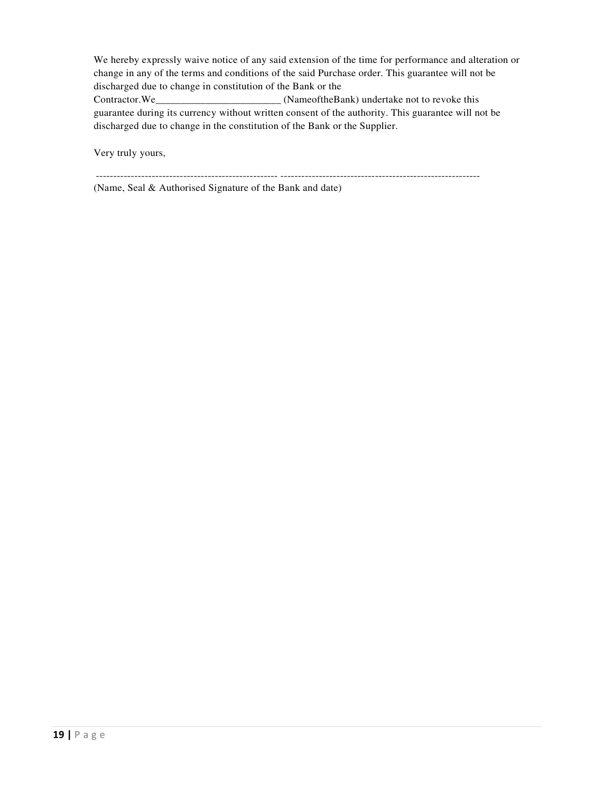We hereby expressly waive notice of any said extension of the time for performance and alteration or change in any of the terms and conditions of the said Purchase order. This guarantee will not be discharged due to change in constitution of the Bank or the Contractor.We\_\_\_\_\_\_\_\_\_\_\_\_\_\_\_\_\_\_\_\_\_\_\_\_\_ (NameoftheBank) undertake not to revoke this guarantee during its currency without written consent of the authority. This guarantee will not be discharged due to change in the constitution of the Bank or the Supplier.

Very truly yours,

---------------------------------------------------- ---------------------------------------------------------

(Name, Seal & Authorised Signature of the Bank and date)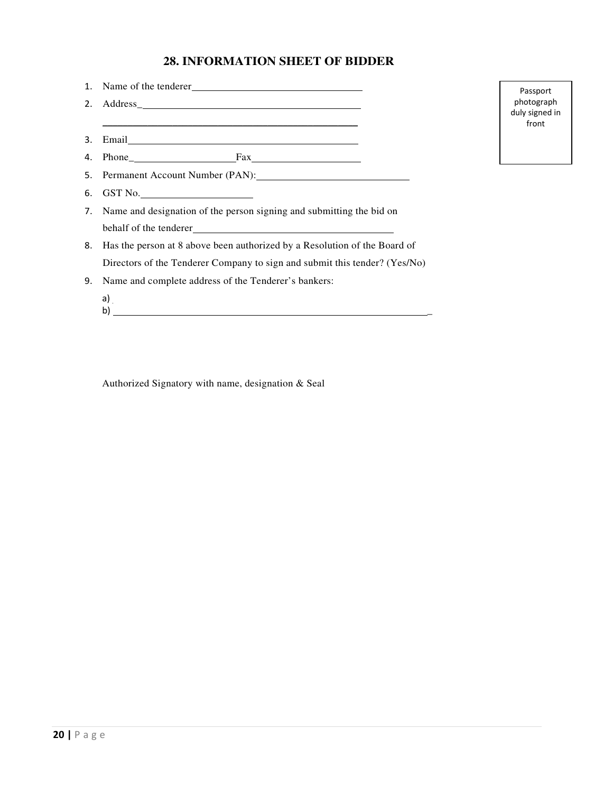# **28. INFORMATION SHEET OF BIDDER**

|    | 1. Name of the tenderer<br><u>Letter</u>                                     |
|----|------------------------------------------------------------------------------|
|    | 2. Address_                                                                  |
|    | <u> 1989 - Johann Stoff, amerikansk politiker (d. 1989)</u>                  |
|    |                                                                              |
|    |                                                                              |
|    |                                                                              |
|    | 6. GST No.                                                                   |
|    | 7. Name and designation of the person signing and submitting the bid on      |
|    |                                                                              |
|    | 8. Has the person at 8 above been authorized by a Resolution of the Board of |
|    | Directors of the Tenderer Company to sign and submit this tender? (Yes/No)   |
| 9. | Name and complete address of the Tenderer's bankers:                         |
|    | a)<br>b)<br><u> 1989 - John Stein, Amerikaansk politiker (</u> † 1920)       |

Authorized Signatory with name, designation & Seal

Passport photograph duly signed in front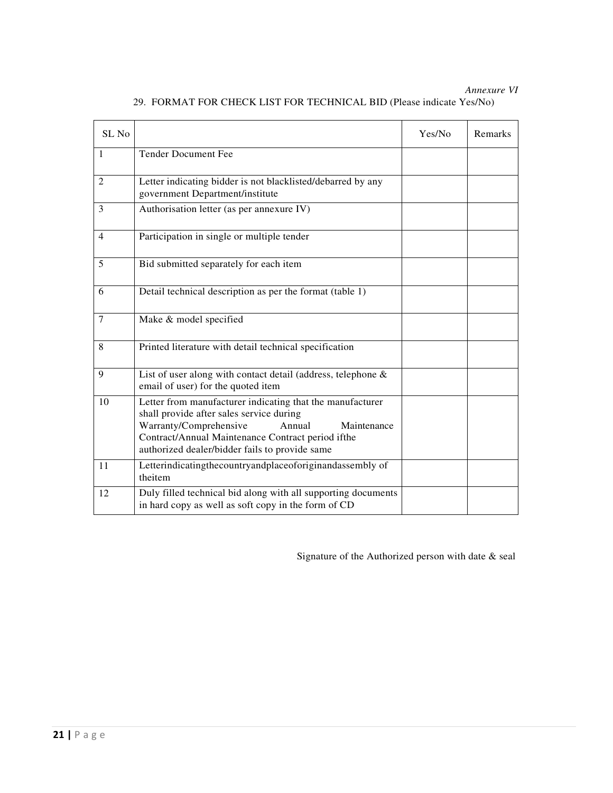*Annexure VI*

| SL <sub>No</sub> |                                                                                                                                                                                                                                                                 | Yes/No | Remarks |
|------------------|-----------------------------------------------------------------------------------------------------------------------------------------------------------------------------------------------------------------------------------------------------------------|--------|---------|
| $\mathbf{1}$     | <b>Tender Document Fee</b>                                                                                                                                                                                                                                      |        |         |
| $\overline{2}$   | Letter indicating bidder is not blacklisted/debarred by any<br>government Department/institute                                                                                                                                                                  |        |         |
| 3                | Authorisation letter (as per annexure IV)                                                                                                                                                                                                                       |        |         |
| $\overline{4}$   | Participation in single or multiple tender                                                                                                                                                                                                                      |        |         |
| 5                | Bid submitted separately for each item                                                                                                                                                                                                                          |        |         |
| 6                | Detail technical description as per the format (table 1)                                                                                                                                                                                                        |        |         |
| 7                | Make & model specified                                                                                                                                                                                                                                          |        |         |
| 8                | Printed literature with detail technical specification                                                                                                                                                                                                          |        |         |
| 9                | List of user along with contact detail (address, telephone &<br>email of user) for the quoted item                                                                                                                                                              |        |         |
| 10               | Letter from manufacturer indicating that the manufacturer<br>shall provide after sales service during<br>Warranty/Comprehensive<br>Annual<br>Maintenance<br>Contract/Annual Maintenance Contract period ifthe<br>authorized dealer/bidder fails to provide same |        |         |
| 11               | Letterindicatingthecountryandplaceoforiginandassembly of<br>theitem                                                                                                                                                                                             |        |         |
| 12               | Duly filled technical bid along with all supporting documents<br>in hard copy as well as soft copy in the form of CD                                                                                                                                            |        |         |

29. FORMAT FOR CHECK LIST FOR TECHNICAL BID (Please indicate Yes/No)

Signature of the Authorized person with date & seal